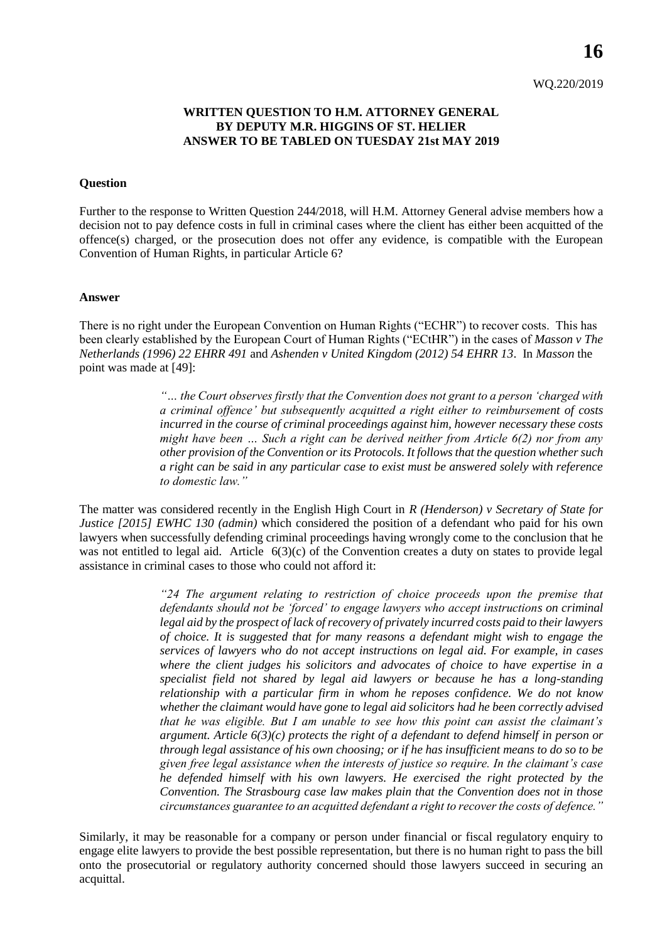### **WRITTEN QUESTION TO H.M. ATTORNEY GENERAL BY DEPUTY M.R. HIGGINS OF ST. HELIER ANSWER TO BE TABLED ON TUESDAY 21st MAY 2019**

#### **Question**

Further to the response to Written Question 244/2018, will H.M. Attorney General advise members how a decision not to pay defence costs in full in criminal cases where the client has either been acquitted of the offence(s) charged, or the prosecution does not offer any evidence, is compatible with the European Convention of Human Rights, in particular Article 6?

#### **Answer**

There is no right under the European Convention on Human Rights ("ECHR") to recover costs. This has been clearly established by the European Court of Human Rights ("ECtHR") in the cases of *Masson v The Netherlands (1996) 22 EHRR 491* and *Ashenden v United Kingdom (2012) 54 EHRR 13*. In *Masson* the point was made at [49]:

> *"… the Court observes firstly that the Convention does not grant to a person 'charged with a criminal offence' but subsequently acquitted a right either to reimbursement of costs incurred in the course of criminal proceedings against him, however necessary these costs might have been … Such a right can be derived neither from Article 6(2) nor from any other provision of the Convention or its Protocols. It follows that the question whether such a right can be said in any particular case to exist must be answered solely with reference to domestic law."*

The matter was considered recently in the English High Court in *R (Henderson) v Secretary of State for Justice [2015] EWHC 130 (admin)* which considered the position of a defendant who paid for his own lawyers when successfully defending criminal proceedings having wrongly come to the conclusion that he was not entitled to legal aid. Article 6(3)(c) of the Convention creates a duty on states to provide legal assistance in criminal cases to those who could not afford it:

> *"24 The argument relating to restriction of choice proceeds upon the premise that defendants should not be 'forced' to engage lawyers who accept instructions on criminal legal aid by the prospect of lack of recovery of privately incurred costs paid to their lawyers of choice. It is suggested that for many reasons a defendant might wish to engage the services of lawyers who do not accept instructions on legal aid. For example, in cases where the client judges his solicitors and advocates of choice to have expertise in a specialist field not shared by legal aid lawyers or because he has a long-standing relationship with a particular firm in whom he reposes confidence. We do not know whether the claimant would have gone to legal aid solicitors had he been correctly advised that he was eligible. But I am unable to see how this point can assist the claimant's argument. Article 6(3)(c) protects the right of a defendant to defend himself in person or through legal assistance of his own choosing; or if he has insufficient means to do so to be given free legal assistance when the interests of justice so require. In the claimant's case he defended himself with his own lawyers. He exercised the right protected by the Convention. The Strasbourg case law makes plain that the Convention does not in those circumstances guarantee to an acquitted defendant a right to recover the costs of defence."*

Similarly, it may be reasonable for a company or person under financial or fiscal regulatory enquiry to engage elite lawyers to provide the best possible representation, but there is no human right to pass the bill onto the prosecutorial or regulatory authority concerned should those lawyers succeed in securing an acquittal.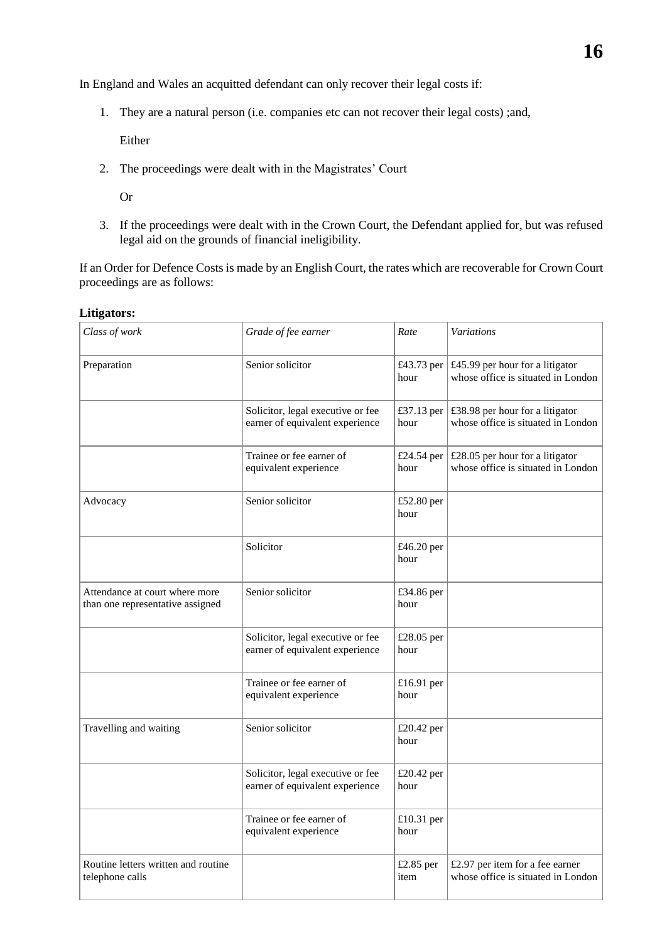In England and Wales an acquitted defendant can only recover their legal costs if:

1. They are a natural person (i.e. companies etc can not recover their legal costs) ;and,

Either

2. The proceedings were dealt with in the Magistrates' Court

Or

3. If the proceedings were dealt with in the Crown Court, the Defendant applied for, but was refused legal aid on the grounds of financial ineligibility.

If an Order for Defence Costs is made by an English Court, the rates which are recoverable for Crown Court proceedings are as follows:

| Class of work                                                      | Grade of fee earner                                                  | Rate               | <b>Variations</b>                                                     |  |
|--------------------------------------------------------------------|----------------------------------------------------------------------|--------------------|-----------------------------------------------------------------------|--|
| Preparation                                                        | Senior solicitor                                                     | £43.73 per<br>hour | £45.99 per hour for a litigator<br>whose office is situated in London |  |
|                                                                    | Solicitor, legal executive or fee<br>earner of equivalent experience | £37.13 per<br>hour | £38.98 per hour for a litigator<br>whose office is situated in London |  |
|                                                                    | Trainee or fee earner of<br>equivalent experience                    | £24.54 per<br>hour | £28.05 per hour for a litigator<br>whose office is situated in London |  |
| Advocacy                                                           | Senior solicitor                                                     | £52.80 per<br>hour |                                                                       |  |
|                                                                    | Solicitor                                                            | £46.20 per<br>hour |                                                                       |  |
| Attendance at court where more<br>than one representative assigned | Senior solicitor                                                     | £34.86 per<br>hour |                                                                       |  |
|                                                                    | Solicitor, legal executive or fee<br>earner of equivalent experience | £28.05 per<br>hour |                                                                       |  |
|                                                                    | Trainee or fee earner of<br>equivalent experience                    | £16.91 per<br>hour |                                                                       |  |
| Travelling and waiting                                             | Senior solicitor                                                     | £20.42 per<br>hour |                                                                       |  |
|                                                                    | Solicitor, legal executive or fee<br>earner of equivalent experience | £20.42 per<br>hour |                                                                       |  |
|                                                                    | Trainee or fee earner of<br>equivalent experience                    | £10.31 per<br>hour |                                                                       |  |
| Routine letters written and routine<br>telephone calls             |                                                                      | £2.85 per<br>item  | £2.97 per item for a fee earner<br>whose office is situated in London |  |

### **Litigators:**